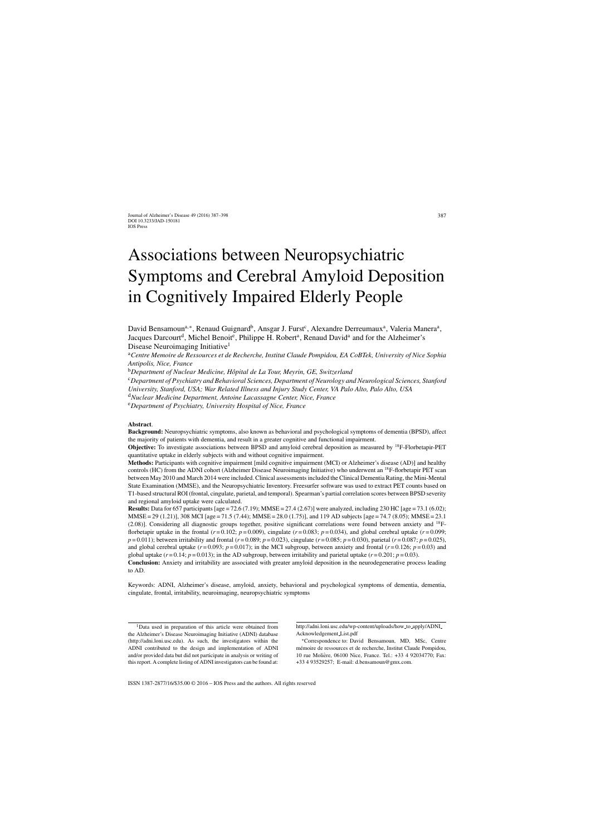# Associations between Neuropsychiatric Symptoms and Cerebral Amyloid Deposition in Cognitively Impaired Elderly People

David Bensamoun<sup>a,∗</sup>, Renaud Guignard<sup>b</sup>, Ansgar J. Furst<sup>c</sup>, Alexandre Derreumaux<sup>a</sup>, Valeria Manera<sup>a</sup>, Jacques Darcourt<sup>d</sup>, Michel Benoit<sup>e</sup>, Philippe H. Robert<sup>a</sup>, Renaud David<sup>a</sup> and for the Alzheimer's Disease Neuroimaging Initiative<sup>1</sup>

<sup>a</sup>*Centre Memoire de Ressources et de Recherche, Institut Claude Pompidou, EA CoBTek, University of Nice Sophia Antipolis, Nice, France*

<sup>c</sup>*Department of Psychiatry and Behavioral Sciences, Department of Neurology and Neurological Sciences, Stanford*

*University, Stanford, USA; War Related Illness and Injury Study Center, VA Palo Alto, Palo Alto, USA*

<sup>d</sup>*Nuclear Medicine Department, Antoine Lacassagne Center, Nice, France*

<sup>e</sup>*Department of Psychiatry, University Hospital of Nice, France*

#### **Abstract**.

**Background:** Neuropsychiatric symptoms, also known as behavioral and psychological symptoms of dementia (BPSD), affect the majority of patients with dementia, and result in a greater cognitive and functional impairment.

**Objective:** To investigate associations between BPSD and amyloid cerebral deposition as measured by <sup>18</sup>F-Florbetapir-PET quantitative uptake in elderly subjects with and without cognitive impairment.

**Methods:** Participants with cognitive impairment [mild cognitive impairment (MCI) or Alzheimer's disease (AD)] and healthy controls (HC) from the ADNI cohort (Alzheimer Disease Neuroimaging Initiative) who underwent an 18F-florbetapir PET scan between May 2010 and March 2014 were included. Clinical assessments included the Clinical Dementia Rating, the Mini-Mental State Examination (MMSE), and the Neuropsychiatric Inventory. Freesurfer software was used to extract PET counts based on T1-based structural ROI (frontal, cingulate, parietal, and temporal). Spearman's partial correlation scores between BPSD severity and regional amyloid uptake were calculated.

**Results:** Data for 657 participants [age = 72.6 (7.19); MMSE = 27.4 (2.67)] were analyzed, including 230 HC [age = 73.1 (6.02); MMSE = 29 (1.21)], 308 MCI [age = 71.5 (7.44); MMSE = 28.0 (1.75)], and 119 AD subjects [age = 74.7 (8.05); MMSE = 23.1 (2.08)]. Considering all diagnostic groups together, positive significant correlations were found between anxiety and 18Fflorbetapir uptake in the frontal  $(r=0.102; p=0.009)$ , cingulate  $(r=0.083; p=0.034)$ , and global cerebral uptake  $(r=0.099;$  $p = 0.011$ ; between irritability and frontal ( $r = 0.089$ ;  $p = 0.023$ ), cingulate ( $r = 0.085$ ;  $p = 0.030$ ), parietal ( $r = 0.087$ ;  $p = 0.025$ ), and global cerebral uptake  $(r = 0.093; p = 0.017)$ ; in the MCI subgroup, between anxiety and frontal  $(r = 0.126; p = 0.03)$  and global uptake  $(r=0.14; p=0.013)$ ; in the AD subgroup, between irritability and parietal uptake  $(r=0.201; p=0.03)$ .

**Conclusion:** Anxiety and irritability are associated with greater amyloid deposition in the neurodegenerative process leading to AD.

Keywords: ADNI, Alzheimer's disease, amyloid, anxiety, behavioral and psychological symptoms of dementia, dementia, cingulate, frontal, irritability, neuroimaging, neuropsychiatric symptoms

[http://adni.loni.usc.edu/wp-content/uploads/how](http://adni.loni.usc.edu/wp-content/uploads/how_to_apply/ADNI_Acknowledgement_List.pdf) to apply/ADNI [Acknowledgement](http://adni.loni.usc.edu/wp-content/uploads/how_to_apply/ADNI_Acknowledgement_List.pdf) List.pdf

∗Correspondence to: David Bensamoun, MD, MSc, Centre mémoire de ressources et de recherche, Institut Claude Pompidou, 10 rue Moliere, 06100 Nice, France. Tel.: +33 4 92034770; Fax: ` +33 4 93529257; E-mail: [d.bensamoun@gmx.com](mailto:d.bensamoun@gmx.com).

<sup>&</sup>lt;sup>b</sup>Department of Nuclear Medicine, Hôpital de La Tour, Meyrin, GE, Switzerland

<sup>&</sup>lt;sup>1</sup>Data used in preparation of this article were obtained from the Alzheimer's Disease Neuroimaging Initiative (ADNI) database [\(http://adni.loni.usc.edu\)](http://adni.loni.usc.edu). As such, the investigators within the ADNI contributed to the design and implementation of ADNI and/or provided data but did not participate in analysis or writing of this report. A complete listing of ADNI investigators can be found at: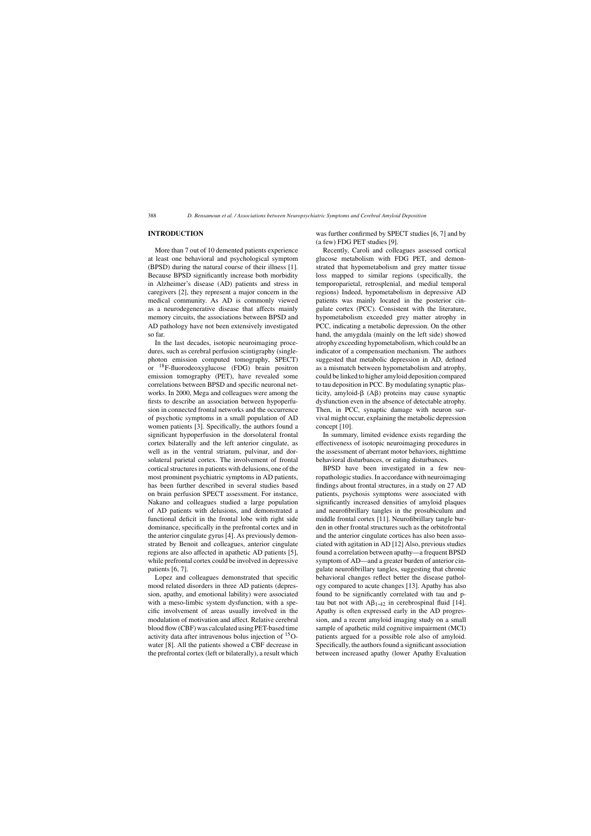# **INTRODUCTION**

More than 7 out of 10 demented patients experience at least one behavioral and psychological symptom (BPSD) during the natural course of their illness [1]. Because BPSD significantly increase both morbidity in Alzheimer's disease (AD) patients and stress in caregivers [2], they represent a major concern in the medical community. As AD is commonly viewed as a neurodegenerative disease that affects mainly memory circuits, the associations between BPSD and AD pathology have not been extensively investigated so far.

In the last decades, isotopic neuroimaging procedures, such as cerebral perfusion scintigraphy (singlephoton emission computed tomography, SPECT) or 18F-fluorodeoxyglucose (FDG) brain positron emission tomography (PET), have revealed some correlations between BPSD and specific neuronal networks. In 2000, Mega and colleagues were among the firsts to describe an association between hypoperfusion in connected frontal networks and the occurrence of psychotic symptoms in a small population of AD women patients [3]. Specifically, the authors found a significant hypoperfusion in the dorsolateral frontal cortex bilaterally and the left anterior cingulate, as well as in the ventral striatum, pulvinar, and dorsolateral parietal cortex. The involvement of frontal cortical structures in patients with delusions, one of the most prominent psychiatric symptoms in AD patients, has been further described in several studies based on brain perfusion SPECT assessment. For instance, Nakano and colleagues studied a large population of AD patients with delusions, and demonstrated a functional deficit in the frontal lobe with right side dominance, specifically in the prefrontal cortex and in the anterior cingulate gyrus [4]. As previously demonstrated by Benoit and colleagues, anterior cingulate regions are also affected in apathetic AD patients [5], while prefrontal cortex could be involved in depressive patients [6, 7].

Lopez and colleagues demonstrated that specific mood related disorders in three AD patients (depression, apathy, and emotional lability) were associated with a meso-limbic system dysfunction, with a specific involvement of areas usually involved in the modulation of motivation and affect. Relative cerebral blood flow (CBF) was calculated using PET-based time activity data after intravenous bolus injection of 15Owater [8]. All the patients showed a CBF decrease in the prefrontal cortex (left or bilaterally), a result which was further confirmed by SPECT studies [6, 7] and by (a few) FDG PET studies [9].

Recently, Caroli and colleagues assessed cortical glucose metabolism with FDG PET, and demonstrated that hypometabolism and grey matter tissue loss mapped to similar regions (specifically, the temporoparietal, retrosplenial, and medial temporal regions) Indeed, hypometabolism in depressive AD patients was mainly located in the posterior cingulate cortex (PCC). Consistent with the literature, hypometabolism exceeded grey matter atrophy in PCC, indicating a metabolic depression. On the other hand, the amygdala (mainly on the left side) showed atrophy exceeding hypometabolism, which could be an indicator of a compensation mechanism. The authors suggested that metabolic depression in AD, defined as a mismatch between hypometabolism and atrophy, could be linked to higher amyloid deposition compared to tau deposition in PCC. By modulating synaptic plasticity, amyloid- $\beta$  (A $\beta$ ) proteins may cause synaptic dysfunction even in the absence of detectable atrophy. Then, in PCC, synaptic damage with neuron survival might occur, explaining the metabolic depression concept [10].

In summary, limited evidence exists regarding the effectiveness of isotopic neuroimaging procedures in the assessment of aberrant motor behaviors, nighttime behavioral disturbances, or eating disturbances.

BPSD have been investigated in a few neuropathologic studies. In accordance with neuroimaging findings about frontal structures, in a study on 27 AD patients, psychosis symptoms were associated with significantly increased densities of amyloid plaques and neurofibrillary tangles in the prosubiculum and middle frontal cortex [11]. Neurofibrillary tangle burden in other frontal structures such as the orbitofrontal and the anterior cingulate cortices has also been associated with agitation in AD [12] Also, previous studies found a correlation between apathy—a frequent BPSD symptom of AD—and a greater burden of anterior cingulate neurofibrillary tangles, suggesting that chronic behavioral changes reflect better the disease pathology compared to acute changes [13]. Apathy has also found to be significantly correlated with tau and ptau but not with  $A\beta_{1-42}$  in cerebrospinal fluid [14]. Apathy is often expressed early in the AD progression, and a recent amyloid imaging study on a small sample of apathetic mild cognitive impairment (MCI) patients argued for a possible role also of amyloid. Specifically, the authors found a significant association between increased apathy (lower Apathy Evaluation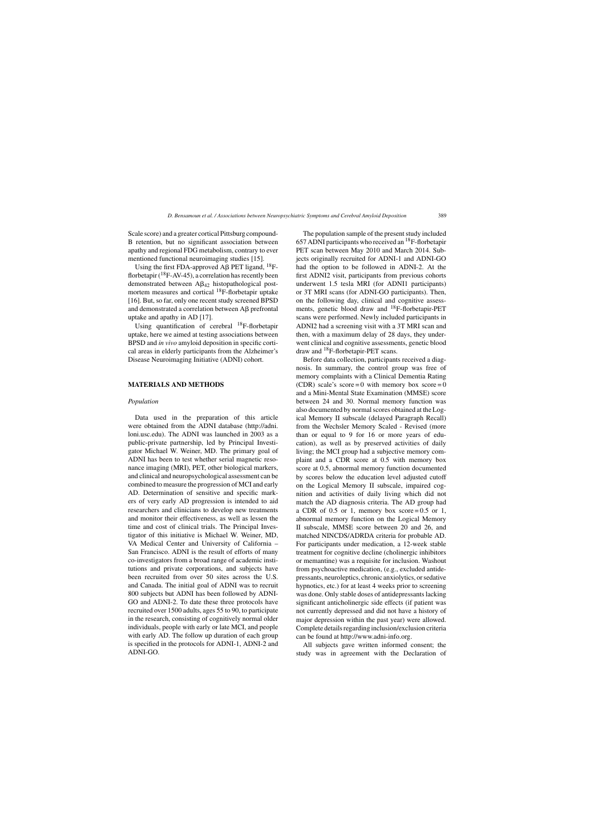Scale score) and a greater cortical Pittsburg compound-B retention, but no significant association between apathy and regional FDG metabolism, contrary to ever mentioned functional neuroimaging studies [15].

Using the first FDA-approved A $\beta$  PET ligand, <sup>18</sup>Fflorbetapir  $(^{18}F-AV-45)$ , a correlation has recently been demonstrated between  $A\beta_{42}$  histopathological postmortem measures and cortical 18F-florbetapir uptake [16]. But, so far, only one recent study screened BPSD and demonstrated a correlation between  $\overrightarrow{AB}$  prefrontal uptake and apathy in AD [17].

Using quantification of cerebral <sup>18</sup>F-florbetapir uptake, here we aimed at testing associations between BPSD and *in vivo* amyloid deposition in specific cortical areas in elderly participants from the Alzheimer's Disease Neuroimaging Initiative (ADNI) cohort.

#### **MATERIALS AND METHODS**

## *Population*

Data used in the preparation of this article were obtained from the ADNI database [\(http://adni.](http://adni.loni.usc.edu) [loni.usc.edu\)](http://adni.loni.usc.edu). The ADNI was launched in 2003 as a public-private partnership, led by Principal Investigator Michael W. Weiner, MD. The primary goal of ADNI has been to test whether serial magnetic resonance imaging (MRI), PET, other biological markers, and clinical and neuropsychological assessment can be combined to measure the progression of MCI and early AD. Determination of sensitive and specific markers of very early AD progression is intended to aid researchers and clinicians to develop new treatments and monitor their effectiveness, as well as lessen the time and cost of clinical trials. The Principal Investigator of this initiative is Michael W. Weiner, MD, VA Medical Center and University of California – San Francisco. ADNI is the result of efforts of many co-investigators from a broad range of academic institutions and private corporations, and subjects have been recruited from over 50 sites across the U.S. and Canada. The initial goal of ADNI was to recruit 800 subjects but ADNI has been followed by ADNI-GO and ADNI-2. To date these three protocols have recruited over 1500 adults, ages 55 to 90, to participate in the research, consisting of cognitively normal older individuals, people with early or late MCI, and people with early AD. The follow up duration of each group is specified in the protocols for ADNI-1, ADNI-2 and ADNI-GO.

The population sample of the present study included 657 ADNI participants who received an 18F-florbetapir PET scan between May 2010 and March 2014. Subjects originally recruited for ADNI-1 and ADNI-GO had the option to be followed in ADNI-2. At the first ADNI2 visit, participants from previous cohorts underwent 1.5 tesla MRI (for ADNI1 participants) or 3T MRI scans (for ADNI-GO participants). Then, on the following day, clinical and cognitive assessments, genetic blood draw and 18F-florbetapir-PET scans were performed. Newly included participants in ADNI2 had a screening visit with a 3T MRI scan and then, with a maximum delay of 28 days, they underwent clinical and cognitive assessments, genetic blood draw and <sup>18</sup>F-florbetapir-PET scans.

Before data collection, participants received a diagnosis. In summary, the control group was free of memory complaints with a Clinical Dementia Rating (CDR) scale's score = 0 with memory box score = 0 and a Mini-Mental State Examination (MMSE) score between 24 and 30. Normal memory function was also documented by normal scores obtained at the Logical Memory II subscale (delayed Paragraph Recall) from the Wechsler Memory Scaled - Revised (more than or equal to 9 for 16 or more years of education), as well as by preserved activities of daily living; the MCI group had a subjective memory complaint and a CDR score at 0.5 with memory box score at 0.5, abnormal memory function documented by scores below the education level adjusted cutoff on the Logical Memory II subscale, impaired cognition and activities of daily living which did not match the AD diagnosis criteria. The AD group had a CDR of 0.5 or 1, memory box score  $= 0.5$  or 1, abnormal memory function on the Logical Memory II subscale, MMSE score between 20 and 26, and matched NINCDS/ADRDA criteria for probable AD. For participants under medication, a 12-week stable treatment for cognitive decline (cholinergic inhibitors or memantine) was a requisite for inclusion. Washout from psychoactive medication, (e.g., excluded antidepressants, neuroleptics, chronic anxiolytics, or sedative hypnotics, etc.) for at least 4 weeks prior to screening was done. Only stable doses of antidepressants lacking significant anticholinergic side effects (if patient was not currently depressed and did not have a history of major depression within the past year) were allowed. Complete details regarding inclusion/exclusion criteria can be found at<http://www.adni-info.org>.

All subjects gave written informed consent; the study was in agreement with the Declaration of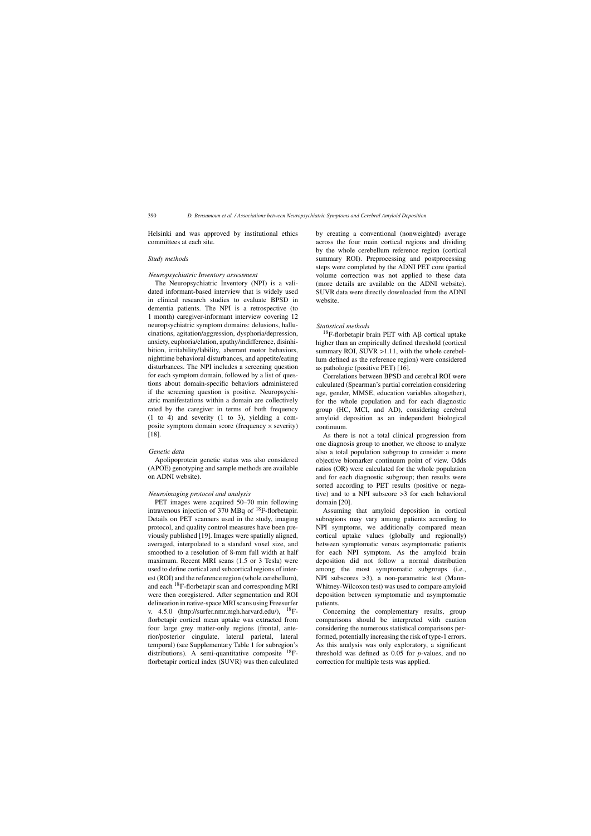Helsinki and was approved by institutional ethics committees at each site.

#### *Study methods*

#### *Neuropsychiatric Inventory assessment*

The Neuropsychiatric Inventory (NPI) is a validated informant-based interview that is widely used in clinical research studies to evaluate BPSD in dementia patients. The NPI is a retrospective (to 1 month) caregiver-informant interview covering 12 neuropsychiatric symptom domains: delusions, hallucinations, agitation/aggression, dysphoria/depression, anxiety, euphoria/elation, apathy/indifference, disinhibition, irritability/lability, aberrant motor behaviors, nighttime behavioral disturbances, and appetite/eating disturbances. The NPI includes a screening question for each symptom domain, followed by a list of questions about domain-specific behaviors administered if the screening question is positive. Neuropsychiatric manifestations within a domain are collectively rated by the caregiver in terms of both frequency (1 to 4) and severity (1 to 3), yielding a composite symptom domain score (frequency  $\times$  severity) [18].

#### *Genetic data*

Apolipoprotein genetic status was also considered (APOE) genotyping and sample methods are available on ADNI website).

#### *Neuroimaging protocol and analysis*

PET images were acquired 50–70 min following intravenous injection of 370 MBq of 18F-florbetapir. Details on PET scanners used in the study, imaging protocol, and quality control measures have been previously published [19]. Images were spatially aligned, averaged, interpolated to a standard voxel size, and smoothed to a resolution of 8-mm full width at half maximum. Recent MRI scans (1.5 or 3 Tesla) were used to define cortical and subcortical regions of interest (ROI) and the reference region (whole cerebellum), and each 18F-florbetapir scan and corresponding MRI were then coregistered. After segmentation and ROI delineation in native-space MRI scans using Freesurfer v.  $4.5.0$  [\(http://surfer.nmr.mgh.harvard.edu/](http://surfer.nmr.mgh.harvard.edu/)),  $^{18}F$ florbetapir cortical mean uptake was extracted from four large grey matter-only regions (frontal, anterior/posterior cingulate, lateral parietal, lateral temporal) (see Supplementary Table 1 for subregion's distributions). A semi-quantitative composite 18Fflorbetapir cortical index (SUVR) was then calculated

by creating a conventional (nonweighted) average across the four main cortical regions and dividing by the whole cerebellum reference region (cortical summary ROI). Preprocessing and postprocessing steps were completed by the ADNI PET core (partial volume correction was not applied to these data (more details are available on the ADNI website). SUVR data were directly downloaded from the ADNI website.

#### *Statistical methods*

<sup>18</sup>F-florbetapir brain PET with  $\overrightarrow{AB}$  cortical uptake higher than an empirically defined threshold (cortical summary ROI, SUVR >1.11, with the whole cerebellum defined as the reference region) were considered as pathologic (positive PET) [16].

Correlations between BPSD and cerebral ROI were calculated (Spearman's partial correlation considering age, gender, MMSE, education variables altogether), for the whole population and for each diagnostic group (HC, MCI, and AD), considering cerebral amyloid deposition as an independent biological continuum.

As there is not a total clinical progression from one diagnosis group to another, we choose to analyze also a total population subgroup to consider a more objective biomarker continuum point of view. Odds ratios (OR) were calculated for the whole population and for each diagnostic subgroup; then results were sorted according to PET results (positive or negative) and to a NPI subscore >3 for each behavioral domain [20].

Assuming that amyloid deposition in cortical subregions may vary among patients according to NPI symptoms, we additionally compared mean cortical uptake values (globally and regionally) between symptomatic versus asymptomatic patients for each NPI symptom. As the amyloid brain deposition did not follow a normal distribution among the most symptomatic subgroups (i.e., NPI subscores >3), a non-parametric test (Mann-Whitney-Wilcoxon test) was used to compare amyloid deposition between symptomatic and asymptomatic patients.

Concerning the complementary results, group comparisons should be interpreted with caution considering the numerous statistical comparisons performed, potentially increasing the risk of type-1 errors. As this analysis was only exploratory, a significant threshold was defined as 0.05 for *p*-values, and no correction for multiple tests was applied.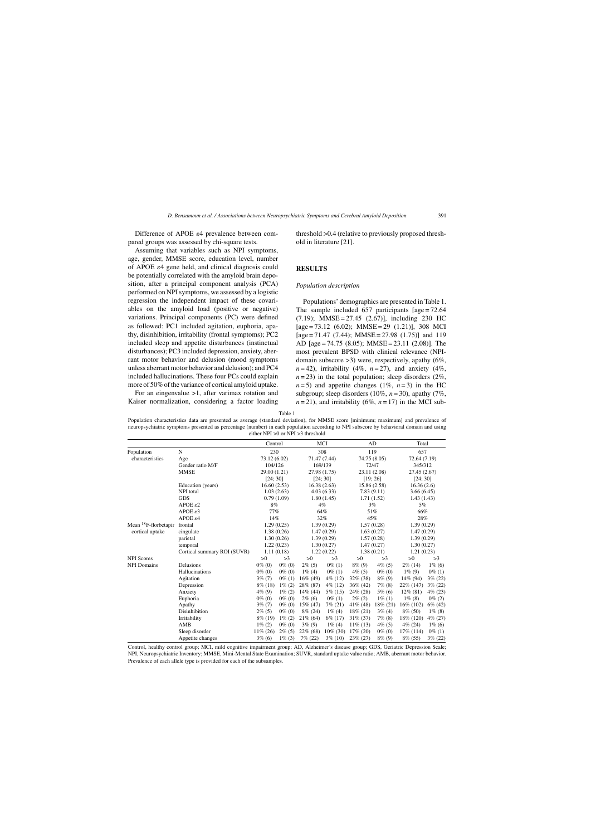Difference of APOE  $\varepsilon$ 4 prevalence between compared groups was assessed by chi-square tests.

Assuming that variables such as NPI symptoms, age, gender, MMSE score, education level, number of APOE  $\varepsilon$ 4 gene held, and clinical diagnosis could be potentially correlated with the amyloid brain deposition, after a principal component analysis (PCA) performed on NPI symptoms, we assessed by a logistic regression the independent impact of these covariables on the amyloid load (positive or negative) variations. Principal components (PC) were defined as followed: PC1 included agitation, euphoria, apathy, disinhibition, irritability (frontal symptoms); PC2 included sleep and appetite disturbances (instinctual disturbances); PC3 included depression, anxiety, aberrant motor behavior and delusion (mood symptoms unless aberrant motor behavior and delusion); and PC4 included hallucinations. These four PCs could explain more of 50% of the variance of cortical amyloid uptake.

For an eingenvalue >1, after varimax rotation and Kaiser normalization, considering a factor loading threshold >0.4 (relative to previously proposed threshold in literature [21].

## **RESULTS**

#### *Population description*

Populations' demographics are presented in Table 1. The sample included  $657$  participants  $[age = 72.64]$  $(7.19)$ ; MMSE = 27.45  $(2.67)$ ], including 230 HC  $[age = 73.12 (6.02); MMSE = 29 (1.21)], 308 MCI$  $[age = 71.47 (7.44); MMSE = 27.98 (1.75)]$  and 119 AD [age = 74.75 (8.05); MMSE = 23.11 (2.08)]. The most prevalent BPSD with clinical relevance (NPIdomain subscore >3) were, respectively, apathy (6%,  $n=42$ ), irritability (4%,  $n=27$ ), and anxiety (4%,  $n = 23$ ) in the total population; sleep disorders (2%,  $n=5$ ) and appetite changes (1%,  $n=3$ ) in the HC subgroup; sleep disorders (10%, *n* = 30), apathy (7%,  $n = 21$ ), and irritability (6%,  $n = 17$ ) in the MCI sub-

Population characteristics data are presented as average (standard deviation), for MMSE score [minimum; maximum] and prevalence of neuropsychiatric symptoms presented as percentage (number) in each population according to NPI subscore by behavioral domain and using either NPI >0 or NPI >3 threshold

|                                  |                             | Control      |            |              | MCI          |             | AD           | Total        |            |
|----------------------------------|-----------------------------|--------------|------------|--------------|--------------|-------------|--------------|--------------|------------|
| Population                       | N                           | 230          |            |              | 308          |             | 119          | 657          |            |
| characteristics                  | Age                         | 73.12 (6.02) |            | 71.47 (7.44) |              |             | 74.75 (8.05) | 72.64 (7.19) |            |
|                                  | Gender ratio M/F            | 104/126      |            |              | 169/139      |             | 72/47        | 345/312      |            |
|                                  | <b>MMSE</b>                 | 29.00 (1.21) |            |              | 27.98 (1.75) |             | 23.11 (2.08) | 27.45 (2.67) |            |
|                                  |                             | [24; 30]     |            |              | [24; 30]     |             | [19; 26]     | [24; 30]     |            |
|                                  | Education (years)           | 16.60(2.53)  |            |              | 16.38(2.63)  |             | 15.86 (2.58) | 16.36(2.6)   |            |
|                                  | NPI total                   |              | 1.03(2.63) |              | 4.03(6.33)   | 7.83(9.11)  |              | 3.66(6.45)   |            |
|                                  | <b>GDS</b>                  |              | 0.79(1.09) |              | 1.80(1.45)   |             | 1.71(1.52)   | 1.43(1.43)   |            |
|                                  | APOE $\varepsilon$ 2        | 8%           |            | 4%           |              | 3%          |              | 5%           |            |
|                                  | APOE $\varepsilon$ 3        | 77%          |            | 64%          |              | 51%         |              | 66%          |            |
|                                  | APOEE                       | 14%          |            | 32%          |              | 45%         |              | 28%          |            |
| Mean <sup>18</sup> F-florbetapir | frontal                     |              | 1.29(0.25) |              | 1.39(0.29)   |             | 1.57(0.28)   | 1.39(0.29)   |            |
| cortical uptake                  | cingulate                   |              | 1.38(0.26) |              | 1.47(0.29)   |             | 1.63(0.27)   | 1.47(0.29)   |            |
|                                  | parietal                    |              | 1.30(0.26) |              | 1.39(0.29)   | 1.57(0.28)  |              | 1.39(0.29)   |            |
|                                  | temporal                    |              | 1.22(0.23) |              | 1.30(0.27)   |             | 1.47(0.27)   | 1.30(0.27)   |            |
|                                  | Cortical summary ROI (SUVR) |              | 1.11(0.18) |              | 1.22(0.22)   |             | 1.38(0.21)   | 1.21(0.23)   |            |
| <b>NPI</b> Scores                |                             | >0           | >3         | >0           | >3           | >0          | >3           | >0           | >3         |
| <b>NPI</b> Domains               | Delusions                   | $0\%$ (0)    | $0\%$ (0)  | $2\%$ (5)    | $0\%$ (1)    | $8\%$ (9)   | $4\%$ (5)    | $2\%$ (14)   | $1\%$ (6)  |
|                                  | Hallucinations              | $0\%$ (0)    | $0\%$ (0)  | $1\%$ (4)    | $0\%$ (1)    | $4\%$ (5)   | $0\%$ (0)    | $1\%$ (9)    | $0\%$ (1)  |
|                                  | Agitation                   | $3\%$ (7)    | $0\%$ (1)  | $16\%$ (49)  | $4\%$ (12)   | $32\%$ (38) | $8\%$ (9)    | 14\% (94)    | $3\% (22)$ |
|                                  | Depression                  | $8\%$ (18)   | $1\% (2)$  | 28% (87)     | $4\%$ (12)   | $36\%$ (42) | $7\%$ (8)    | $22\%$ (147) | $3\% (22)$ |
|                                  | Anxiety                     | $4\%$ (9)    | $1\% (2)$  | $14\%$ (44)  | $5\%$ (15)   | $24\%$ (28) | $5\%$ (6)    | $12\%$ (81)  | $4\%$ (23) |
|                                  | Euphoria                    | $0\%$ (0)    | $0\%$ (0)  | $2\%$ (6)    | $0\%$ (1)    | $2\%$ (2)   | $1\%$ (1)    | $1\%$ (8)    | $0\%$ (2)  |
|                                  | Apathy                      | $3\%$ (7)    | $0\%$ (0)  | 15% (47)     | $7\% (21)$   | $41\%$ (48) | $18\%$ (21)  | $16\%$ (102) | $6\%$ (42) |
|                                  | Disinhibition               | $2\%$ (5)    | $0\%$ (0)  | $8\%$ (24)   | $1\%$ (4)    | $18\% (21)$ | $3\%$ (4)    | $8\%$ (50)   | $1\%$ (8)  |
|                                  | Irritability                | $8\%$ (19)   | $1\% (2)$  | $21\%$ (64)  | $6\%$ (17)   | $31\% (37)$ | $7\%$ (8)    | 18\% (120)   | $4\% (27)$ |
|                                  | AMB                         | $1\% (2)$    | $0\%$ (0)  | $3\%$ (9)    | $1\%$ (4)    | $11\%$ (13) | $4\%$ (5)    | $4\%$ (24)   | $1\%$ (6)  |
|                                  | Sleep disorder              | $11\% (26)$  | $2\%$ (5)  | $22\%$ (68)  | 10% (30)     | 17% (20)    | $0\%$ (0)    | 17\% (114)   | $0\%$ (1)  |
|                                  | Appetite changes            | $3\%$ (6)    | $1\%$ (3)  | $7\%$ (22)   | $3\%$ (10)   | $23\% (27)$ | $8\%$ (9)    | $8\%$ (55)   | $3\% (22)$ |

Control, healthy control group; MCI, mild cognitive impairment group; AD, Alzheimer's disease group; GDS, Geriatric Depression Scale; NPI, Neuropsychiatric Inventory; MMSE, Mini-Mental State Examination; SUVR, standard uptake value ratio; AMB, aberrant motor behavior. Prevalence of each allele type is provided for each of the subsamples.

Table 1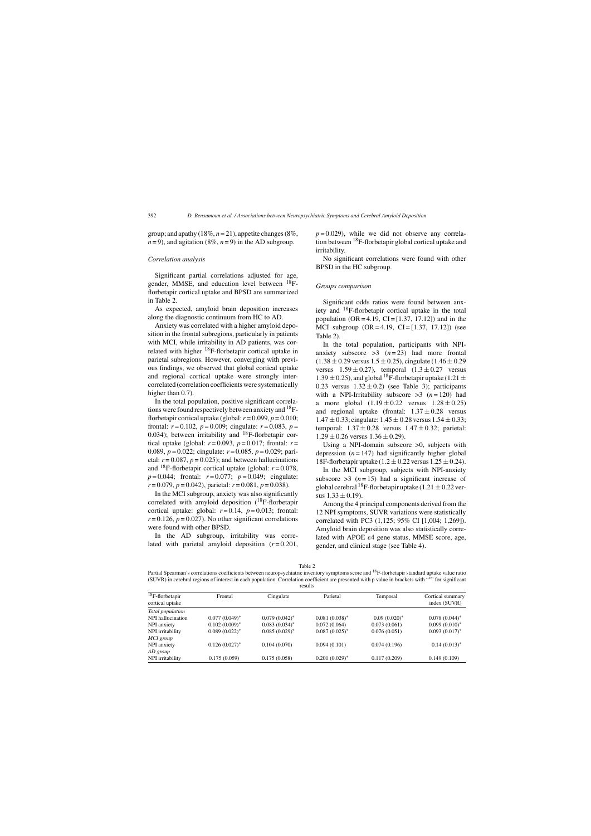group; and apathy  $(18\%, n=21)$ , appetite changes  $(8\%,$  $n = 9$ ), and agitation (8%,  $n = 9$ ) in the AD subgroup.

## *Correlation analysis*

Significant partial correlations adjusted for age, gender, MMSE, and education level between <sup>18</sup>Fflorbetapir cortical uptake and BPSD are summarized in Table 2.

As expected, amyloid brain deposition increases along the diagnostic continuum from HC to AD.

Anxiety was correlated with a higher amyloid deposition in the frontal subregions, particularly in patients with MCI, while irritability in AD patients, was correlated with higher 18F-florbetapir cortical uptake in parietal subregions. However, converging with previous findings, we observed that global cortical uptake and regional cortical uptake were strongly intercorrelated (correlation coefficients were systematically higher than  $0.7$ ).

In the total population, positive significant correlations were found respectively between anxiety and <sup>18</sup>Fflorbetapir cortical uptake (global:  $r = 0.099$ ,  $p = 0.010$ ; frontal:  $r = 0.102$ ,  $p = 0.009$ ; cingulate:  $r = 0.083$ ,  $p =$ 0.034); between irritability and  $^{18}$ F-florbetapir cortical uptake (global:  $r=0.093$ ,  $p=0.017$ ; frontal:  $r=$ 0.089, *p* = 0.022; cingulate: *r* = 0.085, *p* = 0.029; parietal:  $r = 0.087$ ,  $p = 0.025$ ; and between hallucinations and  $^{18}$ F-florbetapir cortical uptake (global:  $r = 0.078$ ,  $p = 0.044$ ; frontal:  $r = 0.077$ ;  $p = 0.049$ ; cingulate:  $r = 0.079$ ,  $p = 0.042$ ), parietal:  $r = 0.081$ ,  $p = 0.038$ ).

In the MCI subgroup, anxiety was also significantly correlated with amyloid deposition  $(^{18}F$ -florbetapir cortical uptake: global:  $r=0.14$ ,  $p=0.013$ ; frontal:  $r = 0.126$ ,  $p = 0.027$ ). No other significant correlations were found with other BPSD.

In the AD subgroup, irritability was correlated with parietal amyloid deposition  $(r=0.201,$   $p = 0.029$ , while we did not observe any correlation between  $^{18}$ F-florbetapir global cortical uptake and irritability.

No significant correlations were found with other BPSD in the HC subgroup.

#### *Groups comparison*

Significant odds ratios were found between anxiety and 18F-florbetapir cortical uptake in the total population  $(OR = 4.19, CI = [1.37, 17.12])$  and in the MCI subgroup  $(OR = 4.19, CI = [1.37, 17.12])$  (see Table 2).

In the total population, participants with NPIanxiety subscore  $>3$   $(n=23)$  had more frontal  $(1.38 \pm 0.29 \text{ versus } 1.5 \pm 0.25)$ , cingulate  $(1.46 \pm 0.29 \text{)}$ versus  $1.59 \pm 0.27$ , temporal  $(1.3 \pm 0.27$  versus 1.39  $\pm$  0.25), and global <sup>18</sup>F-florbetapir uptake (1.21  $\pm$ 0.23 versus  $1.32 \pm 0.2$ ) (see Table 3); participants with a NPI-Irritability subscore  $>3$   $(n=120)$  had a more global  $(1.19 \pm 0.22 \text{ versus } 1.28 \pm 0.25)$ and regional uptake (frontal:  $1.37 \pm 0.28$  versus  $1.47 \pm 0.33$ ; cingulate:  $1.45 \pm 0.28$  versus  $1.54 \pm 0.33$ ; temporal:  $1.37 \pm 0.28$  versus  $1.47 \pm 0.32$ ; parietal:  $1.29 \pm 0.26$  versus  $1.36 \pm 0.29$ ).

Using a NPI-domain subscore  $>0$ , subjects with depression  $(n = 147)$  had significantly higher global 18F-florbetapir uptake (1.2  $\pm$  0.22 versus 1.25  $\pm$  0.24).

In the MCI subgroup, subjects with NPI-anxiety subscore  $>3$   $(n=15)$  had a significant increase of global cerebral <sup>18</sup>F-florbetapir uptake (1.21  $\pm$  0.22 versus  $1.33 \pm 0.19$ ).

Among the 4 principal components derived from the 12 NPI symptoms, SUVR variations were statistically correlated with PC3 (1,125; 95% CI [1,004; 1,269]). Amyloid brain deposition was also statistically correlated with APOE  $\varepsilon$ 4 gene status, MMSE score, age, gender, and clinical stage (see Table 4).

Table 2

Partial Spearman's correlations coefficients between neuropsychiatric inventory symptoms score and <sup>18</sup>F-florbetapir standard uptake value ratio (SUVR) in cerebral regions of interest in each population. Correlation coefficient are presented with p value in brackets with "∗" for significant results

| $18$ F-florbetapir<br>cortical uptake | Frontal          | Cingulate        | Parietal         | Temporal        | Cortical summary<br>index (SUVR) |
|---------------------------------------|------------------|------------------|------------------|-----------------|----------------------------------|
| Total population                      |                  |                  |                  |                 |                                  |
| NPI hallucination                     | $0.077(0.049)^*$ | $0.079(0.042)^*$ | $0.081(0.038)^*$ | $0.09(0.020)^*$ | $0.078(0.044)^*$                 |
| NPI anxiety                           | $0.102(0.009)^*$ | $0.083(0.034)^*$ | 0.072(0.064)     | 0.073(0.061)    | $0.099(0.010)$ <sup>*</sup>      |
| NPI irritability                      | $0.089(0.022)^*$ | $0.085(0.029)$ * | $0.087(0.025)^*$ | 0.076(0.051)    | $0.093(0.017)^*$                 |
| MCI group                             |                  |                  |                  |                 |                                  |
| NPI anxiety                           | $0.126(0.027)^*$ | 0.104(0.070)     | 0.094(0.101)     | 0.074(0.196)    | $0.14(0.013)^*$                  |
| AD group                              |                  |                  |                  |                 |                                  |
| NPI irritability                      | 0.175(0.059)     | 0.175(0.058)     | $0.201(0.029)$ * | 0.117(0.209)    | 0.149(0.109)                     |
|                                       |                  |                  |                  |                 |                                  |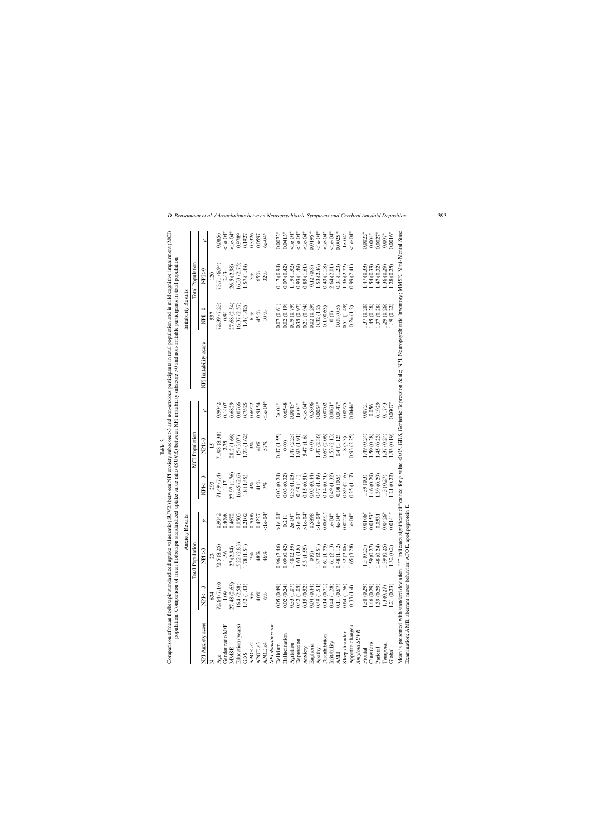| $1.47(2.23)$<br>$1.93(1.91)$<br>27.97 (1.76)<br>71.49 (7.4)<br>16.45(2.6)<br>0.15(0.51)<br>0.05(0.44)<br>0.47 (1.49)<br>0.14(0.71)<br>0.89(2.16)<br>0.02(0.24)<br>0.33(1.03)<br>0.49(1.32)<br>0.25(1.17)<br>1.8(1.45)<br>0.03(0.32)<br>(1.1)<br>0.08(0.5)<br>$NPI<=3$<br>1.17<br>41%<br>4%<br>293<br>7%<br>$1e-04*$<br>$>1e-04*$<br>$>1e-04*$<br>$>1e-04*$<br>$0.0224*$<br>$>1e-04*$<br>$0.0091*$<br>0.7006<br>$2e-04*$<br>0.5898<br>$1e-04*$<br>$4e-04*$<br>0.4098<br>0.2102<br>0.4227<br>0.9042<br>0.4672<br>0.0503<br>$1e-04*$<br>0.211<br>d<br><b>Total Population</b><br>15.22(2.83)<br>72.5(8.25)<br>1.78 (1.51)<br>1.87(2.51)<br>1.61(2.13)<br>0.09(0.42)<br>1.48(2.39)<br>0.61 (1.75)<br>$\begin{array}{c} 0.48 \ (1.12) \\ 1.52 \ (2.86) \end{array}$<br>0.96(2.46)<br>1.65(3.28)<br>27 (2.94)<br>5.3 (1.55)<br>1.61 $(1.8)$<br>NPI > 3<br>1.56<br>$\frac{6}{10}$<br>$48\%$<br>46%<br>72.64 (7.16)<br>27.48 (2.65)<br>1.42(1.43)<br>16.4(2.58)<br>0.05(0.49)<br>0.02(0.24)<br>0.04(0.44)<br>$0.49(1.51)$<br>$0.14(0.71)$<br>0.44(1.28)<br>0.11(0.67)<br>0.64(1.76)<br>$\begin{array}{c} 0.33 \ (1.07) \\ 0.42 \ (1.05) \\ 0.15 \ (0.52) \end{array}$<br>0.33(1.4)<br>3<br>$NPI < =$<br>$40\%$<br>5%<br>634<br>6%<br>NPI Anxiety score<br>NPI domain score<br>Gender ratio M/F<br>Education (years)<br>Appetite changes<br>Amyloid SUVR<br>Sleep disorder<br>Hallucination<br><b>Disinhibition</b><br>Depression<br>Irritability<br>APOE <sub>82</sub><br>APOE <sub>83</sub><br>Agitation<br>$\rm{APOE}$ $\rm{s}4$<br>Euphoria<br>Delirium<br>Anxiety<br>Apathy<br><b>MMSE</b><br><b>AMB</b><br>GDS<br>Age | <b>MCI</b> Population<br>71.08 (8.38)<br>28.2 (1.66)<br>1.73(1.62)<br>0.47 (1.55)<br>15(3.07)<br>NPI>3<br>0(0)<br>2.75<br>40%<br>57%<br>3%<br>15 | $1e-04$<br>$2e-04*$<br>0.6829<br>0.0766<br>0.7525<br>0.6922<br>0.9042<br>0.1407<br>0.9154<br>ρ | NPI Irritability score | 27.68 (2.54)<br>72.39 (7.23)<br>16.37 (2.57)<br>1.4(1.42)<br>$NPI = 0$<br>0.94<br>6%<br>537 | <b>Total Population</b><br>73.71 (6.94)<br>16.33 (2.75)<br>26.5 (2.98)<br>1.57 (1.48)<br>17 (0.94)<br>$\geq 0$<br>2.43<br>65%<br>32%<br>120<br>3% | $<1e-04*$<br>$<1e-04*$<br>0.0856<br>$0.0022*$<br>0.9789<br>0.3326<br>0.1927<br>0.0597<br>$6e-04*$<br>d |
|--------------------------------------------------------------------------------------------------------------------------------------------------------------------------------------------------------------------------------------------------------------------------------------------------------------------------------------------------------------------------------------------------------------------------------------------------------------------------------------------------------------------------------------------------------------------------------------------------------------------------------------------------------------------------------------------------------------------------------------------------------------------------------------------------------------------------------------------------------------------------------------------------------------------------------------------------------------------------------------------------------------------------------------------------------------------------------------------------------------------------------------------------------------------------------------------------------------------------------------------------------------------------------------------------------------------------------------------------------------------------------------------------------------------------------------------------------------------------------------------------------------------------------------------------------------------------------------------------------------------|--------------------------------------------------------------------------------------------------------------------------------------------------|------------------------------------------------------------------------------------------------|------------------------|---------------------------------------------------------------------------------------------|---------------------------------------------------------------------------------------------------------------------------------------------------|--------------------------------------------------------------------------------------------------------|
|                                                                                                                                                                                                                                                                                                                                                                                                                                                                                                                                                                                                                                                                                                                                                                                                                                                                                                                                                                                                                                                                                                                                                                                                                                                                                                                                                                                                                                                                                                                                                                                                                    |                                                                                                                                                  |                                                                                                |                        |                                                                                             |                                                                                                                                                   |                                                                                                        |
|                                                                                                                                                                                                                                                                                                                                                                                                                                                                                                                                                                                                                                                                                                                                                                                                                                                                                                                                                                                                                                                                                                                                                                                                                                                                                                                                                                                                                                                                                                                                                                                                                    |                                                                                                                                                  |                                                                                                |                        |                                                                                             |                                                                                                                                                   |                                                                                                        |
|                                                                                                                                                                                                                                                                                                                                                                                                                                                                                                                                                                                                                                                                                                                                                                                                                                                                                                                                                                                                                                                                                                                                                                                                                                                                                                                                                                                                                                                                                                                                                                                                                    |                                                                                                                                                  |                                                                                                |                        |                                                                                             |                                                                                                                                                   |                                                                                                        |
|                                                                                                                                                                                                                                                                                                                                                                                                                                                                                                                                                                                                                                                                                                                                                                                                                                                                                                                                                                                                                                                                                                                                                                                                                                                                                                                                                                                                                                                                                                                                                                                                                    |                                                                                                                                                  |                                                                                                |                        |                                                                                             |                                                                                                                                                   |                                                                                                        |
|                                                                                                                                                                                                                                                                                                                                                                                                                                                                                                                                                                                                                                                                                                                                                                                                                                                                                                                                                                                                                                                                                                                                                                                                                                                                                                                                                                                                                                                                                                                                                                                                                    |                                                                                                                                                  |                                                                                                |                        |                                                                                             |                                                                                                                                                   |                                                                                                        |
|                                                                                                                                                                                                                                                                                                                                                                                                                                                                                                                                                                                                                                                                                                                                                                                                                                                                                                                                                                                                                                                                                                                                                                                                                                                                                                                                                                                                                                                                                                                                                                                                                    |                                                                                                                                                  |                                                                                                |                        |                                                                                             |                                                                                                                                                   |                                                                                                        |
|                                                                                                                                                                                                                                                                                                                                                                                                                                                                                                                                                                                                                                                                                                                                                                                                                                                                                                                                                                                                                                                                                                                                                                                                                                                                                                                                                                                                                                                                                                                                                                                                                    |                                                                                                                                                  |                                                                                                |                        |                                                                                             |                                                                                                                                                   |                                                                                                        |
|                                                                                                                                                                                                                                                                                                                                                                                                                                                                                                                                                                                                                                                                                                                                                                                                                                                                                                                                                                                                                                                                                                                                                                                                                                                                                                                                                                                                                                                                                                                                                                                                                    |                                                                                                                                                  |                                                                                                |                        |                                                                                             |                                                                                                                                                   |                                                                                                        |
|                                                                                                                                                                                                                                                                                                                                                                                                                                                                                                                                                                                                                                                                                                                                                                                                                                                                                                                                                                                                                                                                                                                                                                                                                                                                                                                                                                                                                                                                                                                                                                                                                    |                                                                                                                                                  |                                                                                                |                        |                                                                                             |                                                                                                                                                   |                                                                                                        |
|                                                                                                                                                                                                                                                                                                                                                                                                                                                                                                                                                                                                                                                                                                                                                                                                                                                                                                                                                                                                                                                                                                                                                                                                                                                                                                                                                                                                                                                                                                                                                                                                                    |                                                                                                                                                  |                                                                                                |                        | 45 %                                                                                        |                                                                                                                                                   |                                                                                                        |
|                                                                                                                                                                                                                                                                                                                                                                                                                                                                                                                                                                                                                                                                                                                                                                                                                                                                                                                                                                                                                                                                                                                                                                                                                                                                                                                                                                                                                                                                                                                                                                                                                    |                                                                                                                                                  |                                                                                                |                        | $10~\%$                                                                                     |                                                                                                                                                   |                                                                                                        |
|                                                                                                                                                                                                                                                                                                                                                                                                                                                                                                                                                                                                                                                                                                                                                                                                                                                                                                                                                                                                                                                                                                                                                                                                                                                                                                                                                                                                                                                                                                                                                                                                                    |                                                                                                                                                  |                                                                                                |                        |                                                                                             |                                                                                                                                                   |                                                                                                        |
|                                                                                                                                                                                                                                                                                                                                                                                                                                                                                                                                                                                                                                                                                                                                                                                                                                                                                                                                                                                                                                                                                                                                                                                                                                                                                                                                                                                                                                                                                                                                                                                                                    |                                                                                                                                                  |                                                                                                |                        | 0.07(0.61)                                                                                  |                                                                                                                                                   |                                                                                                        |
|                                                                                                                                                                                                                                                                                                                                                                                                                                                                                                                                                                                                                                                                                                                                                                                                                                                                                                                                                                                                                                                                                                                                                                                                                                                                                                                                                                                                                                                                                                                                                                                                                    |                                                                                                                                                  | 0.6548                                                                                         |                        | 0.02(0.19)                                                                                  | 0.07(0.42)                                                                                                                                        | $0.0413*$                                                                                              |
|                                                                                                                                                                                                                                                                                                                                                                                                                                                                                                                                                                                                                                                                                                                                                                                                                                                                                                                                                                                                                                                                                                                                                                                                                                                                                                                                                                                                                                                                                                                                                                                                                    |                                                                                                                                                  | $0.0043*$                                                                                      |                        | 0.19(0.79)                                                                                  | 1.19 (1.92)                                                                                                                                       | $1e-04*$                                                                                               |
|                                                                                                                                                                                                                                                                                                                                                                                                                                                                                                                                                                                                                                                                                                                                                                                                                                                                                                                                                                                                                                                                                                                                                                                                                                                                                                                                                                                                                                                                                                                                                                                                                    |                                                                                                                                                  | $1e-04*$                                                                                       |                        | 0.35(0.97)                                                                                  | $\begin{array}{c} 0.93 & (1.49) \\ 0.85 & (1.61) \end{array}$                                                                                     | $1e-04*$                                                                                               |
|                                                                                                                                                                                                                                                                                                                                                                                                                                                                                                                                                                                                                                                                                                                                                                                                                                                                                                                                                                                                                                                                                                                                                                                                                                                                                                                                                                                                                                                                                                                                                                                                                    | 5.47 (1.6)                                                                                                                                       | $>1e-04*$                                                                                      |                        | 0.21(0.94)                                                                                  |                                                                                                                                                   | $1e-04$                                                                                                |
|                                                                                                                                                                                                                                                                                                                                                                                                                                                                                                                                                                                                                                                                                                                                                                                                                                                                                                                                                                                                                                                                                                                                                                                                                                                                                                                                                                                                                                                                                                                                                                                                                    | $\frac{6}{10}$                                                                                                                                   | 0.5806                                                                                         |                        | 0.02(0.29)                                                                                  | 0.12(0.8)                                                                                                                                         | $0.0195*$                                                                                              |
|                                                                                                                                                                                                                                                                                                                                                                                                                                                                                                                                                                                                                                                                                                                                                                                                                                                                                                                                                                                                                                                                                                                                                                                                                                                                                                                                                                                                                                                                                                                                                                                                                    | 1.47(2.36)                                                                                                                                       | $0.0054*$                                                                                      |                        | 0.32(1.2)                                                                                   | 1.53 (2.46)                                                                                                                                       | $1e-04*$                                                                                               |
|                                                                                                                                                                                                                                                                                                                                                                                                                                                                                                                                                                                                                                                                                                                                                                                                                                                                                                                                                                                                                                                                                                                                                                                                                                                                                                                                                                                                                                                                                                                                                                                                                    | 0.67 (2.06)                                                                                                                                      | 0.0702                                                                                         |                        | 0.1(0.63)                                                                                   | 0.43 (1.18)                                                                                                                                       | $1e-04*$                                                                                               |
|                                                                                                                                                                                                                                                                                                                                                                                                                                                                                                                                                                                                                                                                                                                                                                                                                                                                                                                                                                                                                                                                                                                                                                                                                                                                                                                                                                                                                                                                                                                                                                                                                    | 1.53(2.13)                                                                                                                                       | $0.0061*$                                                                                      |                        | $\begin{matrix} 0 \\ 0 \end{matrix}$                                                        | 2.64 (2.01)                                                                                                                                       | $1e-04$                                                                                                |
|                                                                                                                                                                                                                                                                                                                                                                                                                                                                                                                                                                                                                                                                                                                                                                                                                                                                                                                                                                                                                                                                                                                                                                                                                                                                                                                                                                                                                                                                                                                                                                                                                    | 0.4(1.12)                                                                                                                                        | $0.0147*$                                                                                      |                        | 0.08(0.5)                                                                                   | 0.31(1.23)                                                                                                                                        | 0.0025                                                                                                 |
|                                                                                                                                                                                                                                                                                                                                                                                                                                                                                                                                                                                                                                                                                                                                                                                                                                                                                                                                                                                                                                                                                                                                                                                                                                                                                                                                                                                                                                                                                                                                                                                                                    | 1.8(3.3)                                                                                                                                         | 0.0975                                                                                         |                        | 0.51(1.49)                                                                                  | 1.36(2.72)                                                                                                                                        | $1e-04*$                                                                                               |
|                                                                                                                                                                                                                                                                                                                                                                                                                                                                                                                                                                                                                                                                                                                                                                                                                                                                                                                                                                                                                                                                                                                                                                                                                                                                                                                                                                                                                                                                                                                                                                                                                    | 0.93 (2.25)                                                                                                                                      | $0.0444*$                                                                                      |                        | 0.24(1.2)                                                                                   | 0.99(2.41)                                                                                                                                        | $1e-04$ <sup>*</sup>                                                                                   |
| 1.39(0.3)<br>$0.0166*$<br>1.5(0.25)<br>(.38(0.29)<br>Frontal                                                                                                                                                                                                                                                                                                                                                                                                                                                                                                                                                                                                                                                                                                                                                                                                                                                                                                                                                                                                                                                                                                                                                                                                                                                                                                                                                                                                                                                                                                                                                       | 1.49(0.24)                                                                                                                                       | 0.0721                                                                                         |                        | 1.37(0.28)                                                                                  | (47(0.33))                                                                                                                                        | $0.0022*$                                                                                              |
| 1.46 (0.29)<br>$0.0153*$<br>.59(0.27)<br>.46(0.29)<br>Cingulate                                                                                                                                                                                                                                                                                                                                                                                                                                                                                                                                                                                                                                                                                                                                                                                                                                                                                                                                                                                                                                                                                                                                                                                                                                                                                                                                                                                                                                                                                                                                                    | 1.59(0.28)                                                                                                                                       | 0.056                                                                                          |                        | 1.45(0.28)                                                                                  | 1.54(0.33)                                                                                                                                        | $0.004*$                                                                                               |
| (.39(0.29)<br>0.0531<br>1.48(0.24)<br>.39(0.29)<br>Parietal                                                                                                                                                                                                                                                                                                                                                                                                                                                                                                                                                                                                                                                                                                                                                                                                                                                                                                                                                                                                                                                                                                                                                                                                                                                                                                                                                                                                                                                                                                                                                        | (45(0.23)                                                                                                                                        | 0.1929                                                                                         |                        | 1.37(0.28)                                                                                  | 1.47(0.32)                                                                                                                                        | $0.0027*$                                                                                              |
| 1.3(0.27)<br>0.0426*<br>.39(0.25)<br>1.3(0.27)<br>Temporal                                                                                                                                                                                                                                                                                                                                                                                                                                                                                                                                                                                                                                                                                                                                                                                                                                                                                                                                                                                                                                                                                                                                                                                                                                                                                                                                                                                                                                                                                                                                                         | 1.37(0.24)                                                                                                                                       | 0.1743                                                                                         |                        | 1.29(0.26)                                                                                  | 1.36(0.29)                                                                                                                                        | $0.007*$                                                                                               |
| 1.21(0.22)<br>$0.0141*$<br>1.32(0.2)<br>.21(0.23)<br>Global                                                                                                                                                                                                                                                                                                                                                                                                                                                                                                                                                                                                                                                                                                                                                                                                                                                                                                                                                                                                                                                                                                                                                                                                                                                                                                                                                                                                                                                                                                                                                        | 1.33(0.19)                                                                                                                                       | $0.0307*$                                                                                      |                        | 1.19(0.22)                                                                                  | 1.28(0.25)                                                                                                                                        | $0.0016*$                                                                                              |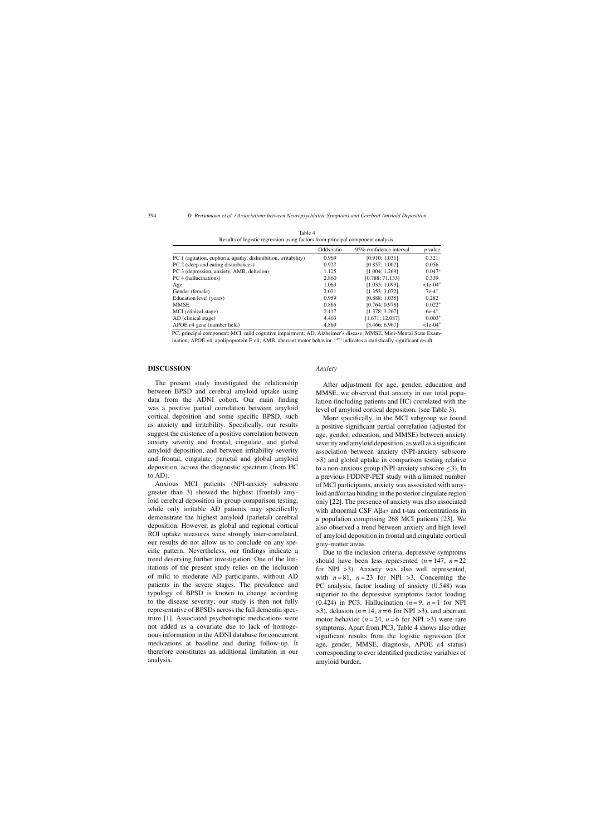|                                                                 | Odds ratio | 95% confidence interval | <i>p</i> value |
|-----------------------------------------------------------------|------------|-------------------------|----------------|
| PC 1 (agitation, euphoria, apathy, dishinibition, irritability) | 0.969      | [0.910; 1.031]          | 0.321          |
| PC 2 (sleep and eating disturbances)                            | 0.927      | [0.857; 1.002]          | 0.056          |
| PC 3 (depression, anxiety, AMB, delusion)                       | 1.125      | [1.004; 1.269]          | $0.047*$       |
| PC 4 (hallucinations)                                           | 2.860      | [0.788; 71.133]         | 0.339          |
| Age                                                             | 1.063      | [1.035; 1.093]          | $1e-04*$       |
| Gender (female)                                                 | 2.031      | [1.353; 3.072]          | $7e-4*$        |
| Education level (years)                                         | 0.959      | [0.888; 1.035]          | 0.282          |
| <b>MMSE</b>                                                     | 0.865      | [0.764; 0.978]          | $0.022*$       |
| MCI (clinical stage)                                            | 2.117      | [1.378; 3.267]          | $6e-4*$        |
| AD (clinical stage)                                             | 4.403      | [1.671; 12.087]         | $0.003*$       |
| APOE $\varepsilon$ 4 gene (number held)                         | 4.869      | [3.466; 6.967]          | $1e-04*$       |

Table 4 Results of logistic regression using factors from principal component analysis

PC, principal component; MCI, mild cognitive impairment; AD, Alzheimer's disease; MMSE, Mini-Mental State Examination; APOE  $\varepsilon$ 4, apolipoprotein E  $\varepsilon$ 4; AMB, aberrant motor behavior. "\*" indicates a statistically significant result.

## **DISCUSSION**

The present study investigated the relationship between BPSD and cerebral amyloid uptake using data from the ADNI cohort. Our main finding was a positive partial correlation between amyloid cortical deposition and some specific BPSD, such as anxiety and irritability. Specifically, our results suggest the existence of a positive correlation between anxiety severity and frontal, cingulate, and global amyloid deposition, and between irritability severity and frontal, cingulate, parietal and global amyloid deposition, across the diagnostic spectrum (from HC to AD).

Anxious MCI patients (NPI-anxiety subscore greater than 3) showed the highest (frontal) amyloid cerebral deposition in group comparison testing, while only irritable AD patients may specifically demonstrate the highest amyloid (parietal) cerebral deposition. However, as global and regional cortical ROI uptake measures were strongly inter-correlated, our results do not allow us to conclude on any specific pattern. Nevertheless, our findings indicate a trend deserving further investigation. One of the limitations of the present study relies on the inclusion of mild to moderate AD participants, without AD patients in the severe stages. The prevalence and typology of BPSD is known to change according to the disease severity; our study is then not fully representative of BPSDs across the full dementia spectrum [1]. Associated psychotropic medications were not added as a covariate due to lack of homogenous information in the ADNI database for concurrent medications at baseline and during follow-up. It therefore constitutes an additional limitation in our analysis.

## *Anxiety*

After adjustment for age, gender, education and MMSE, we observed that anxiety in our total population (including patients and HC) correlated with the level of amyloid cortical deposition. (see Table 3).

More specifically, in the MCI subgroup we found a positive significant partial correlation (adjusted for age, gender, education, and MMSE) between anxiety severity and amyloid deposition, as well as a significant association between anxiety (NPI-anxiety subscore >3) and global uptake in comparison testing relative to a non-anxious group (NPI-anxiety subscore  $\leq$ 3). In a previous FDDNP-PET study with a limited number of MCI participants, anxiety was associated with amyloid and/or tau binding in the posterior cingulate region only [22]. The presence of anxiety was also associated with abnormal CSF  $\mathbf{A}\mathbf{\beta}_{42}$  and t-tau concentrations in a population comprising 268 MCI patients [23]. We also observed a trend between anxiety and high level of amyloid deposition in frontal and cingulate cortical grey-matter areas.

Due to the inclusion criteria, depressive symptoms should have been less represented  $(n = 147, n = 22)$ for NPI >3). Anxiety was also well represented, with  $n = 81$ ,  $n = 23$  for NPI  $>3$ . Concerning the PC analysis, factor loading of anxiety (0.548) was superior to the depressive symptoms factor loading (0.424) in PC3. Hallucination  $(n=9, n=1$  for NPI  $>$ 3), delusion ( $n = 14$ ,  $n = 6$  for NPI $>$ 3), and aberrant motor behavior  $(n=24, n=6$  for NPI >3) were rare symptoms. Apart from PC3, Table 4 shows also other significant results from the logistic regression (for age, gender, MMSE, diagnosis, APOE  $\varepsilon$ 4 status) corresponding to ever identified predictive variables of amyloid burden.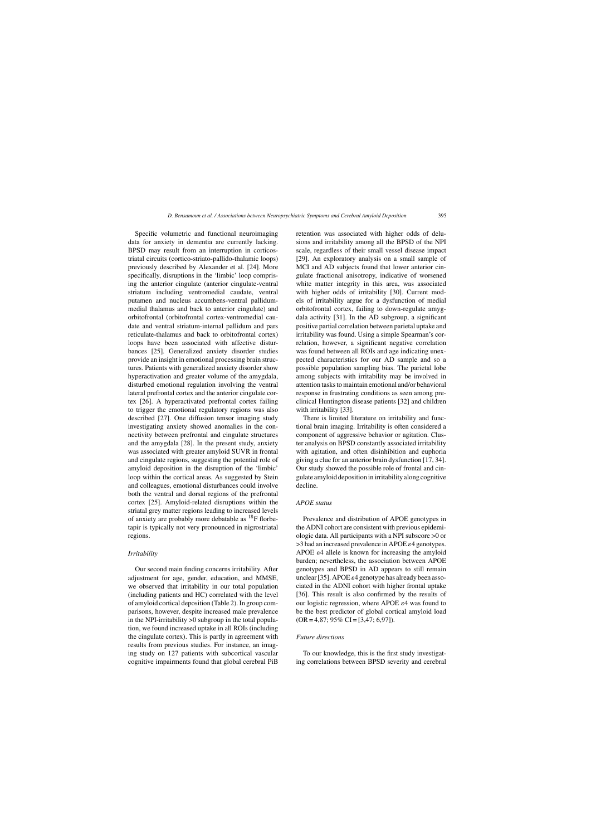Specific volumetric and functional neuroimaging data for anxiety in dementia are currently lacking. BPSD may result from an interruption in corticostriatal circuits (cortico-striato-pallido-thalamic loops) previously described by Alexander et al. [24]. More specifically, disruptions in the 'limbic' loop comprising the anterior cingulate (anterior cingulate-ventral striatum including ventromedial caudate, ventral putamen and nucleus accumbens-ventral pallidummedial thalamus and back to anterior cingulate) and orbitofrontal (orbitofrontal cortex-ventromedial caudate and ventral striatum-internal pallidum and pars reticulate-thalamus and back to orbitofrontal cortex) loops have been associated with affective disturbances [25]. Generalized anxiety disorder studies provide an insight in emotional processing brain structures. Patients with generalized anxiety disorder show hyperactivation and greater volume of the amygdala, disturbed emotional regulation involving the ventral lateral prefrontal cortex and the anterior cingulate cortex [26]. A hyperactivated prefrontal cortex failing to trigger the emotional regulatory regions was also described [27]. One diffusion tensor imaging study investigating anxiety showed anomalies in the connectivity between prefrontal and cingulate structures and the amygdala [28]. In the present study, anxiety was associated with greater amyloid SUVR in frontal and cingulate regions, suggesting the potential role of amyloid deposition in the disruption of the 'limbic' loop within the cortical areas. As suggested by Stein and colleagues, emotional disturbances could involve both the ventral and dorsal regions of the prefrontal cortex [25]. Amyloid-related disruptions within the striatal grey matter regions leading to increased levels of anxiety are probably more debatable as  $^{18}$ F florbetapir is typically not very pronounced in nigrostriatal regions.

## *Irritability*

Our second main finding concerns irritability. After adjustment for age, gender, education, and MMSE, we observed that irritability in our total population (including patients and HC) correlated with the level of amyloid cortical deposition (Table 2). In group comparisons, however, despite increased male prevalence in the NPI-irritability >0 subgroup in the total population, we found increased uptake in all ROIs (including the cingulate cortex). This is partly in agreement with results from previous studies. For instance, an imaging study on 127 patients with subcortical vascular cognitive impairments found that global cerebral PiB

retention was associated with higher odds of delusions and irritability among all the BPSD of the NPI scale, regardless of their small vessel disease impact [29]. An exploratory analysis on a small sample of MCI and AD subjects found that lower anterior cingulate fractional anisotropy, indicative of worsened white matter integrity in this area, was associated with higher odds of irritability [30]. Current models of irritability argue for a dysfunction of medial orbitofrontal cortex, failing to down-regulate amygdala activity [31]. In the AD subgroup, a significant positive partial correlation between parietal uptake and irritability was found. Using a simple Spearman's correlation, however, a significant negative correlation was found between all ROIs and age indicating unexpected characteristics for our AD sample and so a possible population sampling bias. The parietal lobe among subjects with irritability may be involved in attention tasks to maintain emotional and/or behavioral response in frustrating conditions as seen among preclinical Huntington disease patients [32] and children with irritability [33].

There is limited literature on irritability and functional brain imaging. Irritability is often considered a component of aggressive behavior or agitation. Cluster analysis on BPSD constantly associated irritability with agitation, and often disinhibition and euphoria giving a clue for an anterior brain dysfunction [17, 34]. Our study showed the possible role of frontal and cingulate amyloid deposition in irritability along cognitive decline.

#### *APOE status*

Prevalence and distribution of APOE genotypes in the ADNI cohort are consistent with previous epidemiologic data. All participants with a NPI subscore >0 or  $>$ 3 had an increased prevalence in APOE  $\varepsilon$ 4 genotypes. APOE  $\varepsilon$ 4 allele is known for increasing the amyloid burden; nevertheless, the association between APOE genotypes and BPSD in AD appears to still remain unclear [35]. APOE  $\varepsilon$ 4 genotype has already been associated in the ADNI cohort with higher frontal uptake [36]. This result is also confirmed by the results of our logistic regression, where APOE  $\varepsilon$ 4 was found to be the best predictor of global cortical amyloid load  $(OR = 4,87; 95\% CI = [3,47; 6,97]).$ 

## *Future directions*

To our knowledge, this is the first study investigating correlations between BPSD severity and cerebral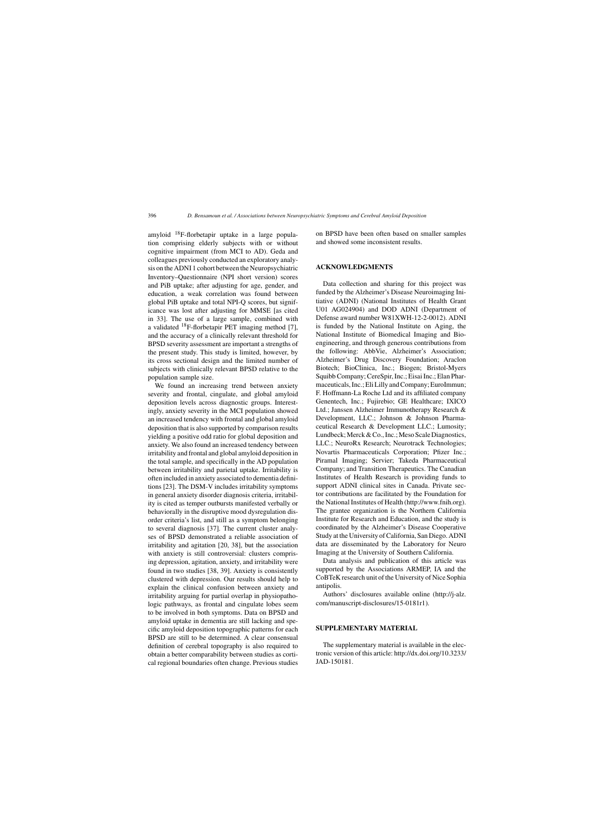amyloid  $^{18}$ F-florbetapir uptake in a large population comprising elderly subjects with or without cognitive impairment (from MCI to AD). Geda and colleagues previously conducted an exploratory analysis on the ADNI 1 cohort between the Neuropsychiatric Inventory–Questionnaire (NPI short version) scores and PiB uptake; after adjusting for age, gender, and education, a weak correlation was found between global PiB uptake and total NPI-Q scores, but significance was lost after adjusting for MMSE [as cited in 33]. The use of a large sample, combined with a validated 18F-florbetapir PET imaging method [7], and the accuracy of a clinically relevant threshold for BPSD severity assessment are important a strengths of the present study. This study is limited, however, by its cross sectional design and the limited number of subjects with clinically relevant BPSD relative to the population sample size.

We found an increasing trend between anxiety severity and frontal, cingulate, and global amyloid deposition levels across diagnostic groups. Interestingly, anxiety severity in the MCI population showed an increased tendency with frontal and global amyloid deposition that is also supported by comparison results yielding a positive odd ratio for global deposition and anxiety. We also found an increased tendency between irritability and frontal and global amyloid deposition in the total sample, and specifically in the AD population between irritability and parietal uptake. Irritability is often included in anxiety associated to dementia definitions [23]. The DSM-V includes irritability symptoms in general anxiety disorder diagnosis criteria, irritability is cited as temper outbursts manifested verbally or behaviorally in the disruptive mood dysregulation disorder criteria's list, and still as a symptom belonging to several diagnosis [37]. The current cluster analyses of BPSD demonstrated a reliable association of irritability and agitation [20, 38], but the association with anxiety is still controversial: clusters comprising depression, agitation, anxiety, and irritability were found in two studies [38, 39]. Anxiety is consistently clustered with depression. Our results should help to explain the clinical confusion between anxiety and irritability arguing for partial overlap in physiopathologic pathways, as frontal and cingulate lobes seem to be involved in both symptoms. Data on BPSD and amyloid uptake in dementia are still lacking and specific amyloid deposition topographic patterns for each BPSD are still to be determined. A clear consensual definition of cerebral topography is also required to obtain a better comparability between studies as cortical regional boundaries often change. Previous studies

on BPSD have been often based on smaller samples and showed some inconsistent results.

## **ACKNOWLEDGMENTS**

Data collection and sharing for this project was funded by the Alzheimer's Disease Neuroimaging Initiative (ADNI) (National Institutes of Health Grant U01 AG024904) and DOD ADNI (Department of Defense award number W81XWH-12-2-0012). ADNI is funded by the National Institute on Aging, the National Institute of Biomedical Imaging and Bioengineering, and through generous contributions from the following: AbbVie, Alzheimer's Association; Alzheimer's Drug Discovery Foundation; Araclon Biotech; BioClinica, Inc.; Biogen; Bristol-Myers Squibb Company; CereSpir, Inc.; Eisai Inc.; Elan Pharmaceuticals, Inc.; Eli Lilly and Company; EuroImmun; F. Hoffmann-La Roche Ltd and its affiliated company Genentech, Inc.; Fujirebio; GE Healthcare; IXICO Ltd.; Janssen Alzheimer Immunotherapy Research & Development, LLC.; Johnson & Johnson Pharmaceutical Research & Development LLC.; Lumosity; Lundbeck; Merck & Co., Inc.; Meso Scale Diagnostics, LLC.; NeuroRx Research; Neurotrack Technologies; Novartis Pharmaceuticals Corporation; Pfizer Inc.; Piramal Imaging; Servier; Takeda Pharmaceutical Company; and Transition Therapeutics. The Canadian Institutes of Health Research is providing funds to support ADNI clinical sites in Canada. Private sector contributions are facilitated by the Foundation for the National Institutes of Health ([http://www.fnih.org\)](http://www.fnih.org). The grantee organization is the Northern California Institute for Research and Education, and the study is coordinated by the Alzheimer's Disease Cooperative Study at the University of California, San Diego. ADNI data are disseminated by the Laboratory for Neuro Imaging at the University of Southern California.

Data analysis and publication of this article was supported by the Associations ARMEP, IA and the CoBTeK research unit of the University of Nice Sophia antipolis.

Authors' disclosures available online ([http://j-alz.](http://j-alz.com/manuscript-disclosures/15-0181r1) [com/manuscript-disclosures/15-0181r1\)](http://j-alz.com/manuscript-disclosures/15-0181r1).

## **SUPPLEMENTARY MATERIAL**

The supplementary material is available in the electronic version of this article: [http://dx.doi.org/10.3233/](http://dx.doi.org/10.3233/JAD-150181) [JAD-150181](http://dx.doi.org/10.3233/JAD-150181).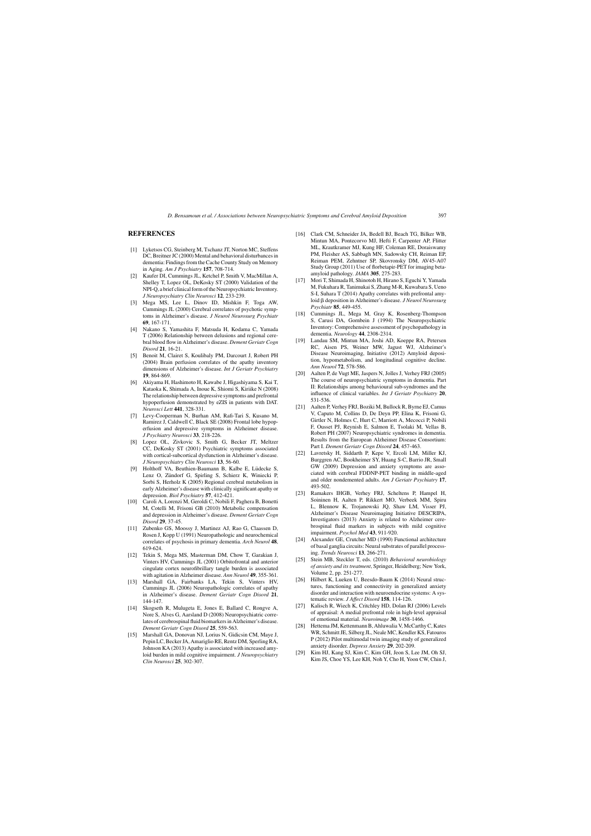## **REFERENCES**

- [1] Lyketsos CG, Steinberg M, Tschanz JT, Norton MC, Steffens DC, Breitner JC (2000) Mental and behavioral disturbances in dementia: Findings from the Cache County Study on Memory in Aging. *Am J Psychiatry* **157**, 708-714.
- [2] Kaufer DI, Cummings JL, Ketchel P, Smith V, MacMillan A, Shelley T, Lopez OL, DeKosky ST (2000) Validation of the NPI-Q, a brief clinical form of the Neuropsychiatric Inventory. *J Neuropsychiatry Clin Neurosci* **12**, 233-239.
- [3] Mega MS, Lee L, Dinov ID, Mishkin F, Toga AW, Cummings JL (2000) Cerebral correlates of psychotic symptoms in Alzheimer's disease. *J Neurol Neurosurg Psychiatr* **69**, 167-171.
- [4] Nakano S, Yamashita F, Matsuda H, Kodama C, Yamada T (2006) Relationship between delusions and regional cerebral blood flow in Alzheimer's disease. *Dement Geriatr Cogn Disord* **21**, 16-21.
- [5] Benoit M, Clairet S, Koulibaly PM, Darcourt J, Robert PH (2004) Brain perfusion correlates of the apathy inventory dimensions of Alzheimer's disease. *Int J Geriatr Psychiatry* **19**, 864-869.
- [6] Akiyama H, Hashimoto H, Kawabe J, Higashiyama S, Kai T, Kataoka K, Shimada A, Inoue K, Shiomi S, Kiriike N (2008) The relationship between depressive symptoms and prefrontal hypoperfusion demonstrated by eZIS in patients with DAT. *Neurosci Lett* **441**, 328-331.
- [7] Levy-Cooperman N, Burhan AM, Rafi-Tari S, Kusano M, Ramirez J, Caldwell C, Black SE (2008) Frontal lobe hypoperfusion and depressive symptoms in Alzheimer disease. *J Psychiatry Neurosci* **33**, 218-226.
- [8] Lopez OL, Zivkovic S, Smith G, Becker JT, Meltzer CC, DeKosky ST (2001) Psychiatric symptoms associated with cortical-subcortical dysfunction in Alzheimer's disease. *J Neuropsychiatry Clin Neurosci* **13**, 56-60.
- [9] Holthoff VA, Beuthien-Baumann B, Kalbe E, Lüdecke S, Lenz O, Zündorf G, Spirling S, Schierz K, Winiecki P, Sorbi S, Herholz K (2005) Regional cerebral metabolism in early Alzheimer's disease with clinically significant apathy or depression. *Biol Psychiatry* **57**, 412-421.
- [10] Caroli A, Lorenzi M, Geroldi C, Nobili F, Paghera B, Bonetti M, Cotelli M, Frisoni GB (2010) Metabolic compensation and depression in Alzheimer's disease. *Dement Geriatr Cogn Disord* **29**, 37-45.
- [11] Zubenko GS, Moossy J, Martinez AJ, Rao G, Claassen D, Rosen J, Kopp U (1991) Neuropathologic and neurochemical correlates of psychosis in primary dementia. *Arch Neurol* **48**, 619-624.
- [12] Tekin S, Mega MS, Masterman DM, Chow T, Garakian J, Vinters HV, Cummings JL (2001) Orbitofrontal and anterior cingulate cortex neurofibrillary tangle burden is associated with agitation in Alzheimer disease. *Ann Neurol* **49**, 355-361.
- [13] Marshall GA, Fairbanks LA, Tekin S, Vinters HV, Cummings JL (2006) Neuropathologic correlates of apathy in Alzheimer's disease. *Dement Geriatr Cogn Disord* **21**, 144-147.
- [14] Skogseth R, Mulugeta E, Jones E, Ballard C, Rongve A, Nore S, Alves G, Aarsland D (2008) Neuropsychiatric correlates of cerebrospinal fluid biomarkers in Alzheimer's disease. *Dement Geriatr Cogn Disord* **25**, 559-563.
- [15] Marshall GA, Donovan NJ, Lorius N, Gidicsin CM, Maye J, Pepin LC, Becker JA, Amariglio RE, Rentz DM, Sperling RA, Johnson KA (2013) Apathy is associated with increased amyloid burden in mild cognitive impairment. *J Neuropsychiatry Clin Neurosci* **25**, 302-307.
- [16] Clark CM, Schneider JA, Bedell BJ, Beach TG, Bilker WB, Mintun MA, Pontecorvo MJ, Hefti F, Carpenter AP, Flitter ML, Krautkramer MJ, Kung HF, Coleman RE, Doraiswamy PM, Fleisher AS, Sabbagh MN, Sadowsky CH, Reiman EP, Reiman PEM, Zehntner SP, Skovronsky DM, AV45-A07 Study Group (2011) Use of florbetapir-PET for imaging betaamyloid pathology. *JAMA* **305**, 275-283.
- Mori T, Shimada H, Shinotoh H, Hirano S, Eguchi Y, Yamada M, Fukuhara R, Tanimukai S, Zhang M-R, Kuwabara S, Ueno S-I, Suhara T (2014) Apathy correlates with prefrontal amyloid deposition in Alzheimer's disease. *J Neurol Neurosurg Psychiatr* **85**, 449-455.
- [18] Cummings JL, Mega M, Gray K, Rosenberg-Thompson S, Carusi DA, Gornbein J (1994) The Neuropsychiatric Inventory: Comprehensive assessment of psychopathology in dementia. *Neurology* **44**, 2308-2314.
- [19] Landau SM, Mintun MA, Joshi AD, Koeppe RA, Petersen RC, Aisen PS, Weiner MW, Jagust WJ, Alzheimer's Disease Neuroimaging, Initiative (2012) Amyloid deposition, hypometabolism, and longitudinal cognitive decline. *Ann Neurol* **72**, 578-586.
- [20] Aalten P, de Vugt ME, Jaspers N, Jolles J, Verhey FRJ (2005) The course of neuropsychiatric symptoms in dementia. Part II: Relationships among behavioural sub-syndromes and the influence of clinical variables. *Int J Geriatr Psychiatry* **20**, 531-536.
- [21] Aalten P, Verhey FRJ, Boziki M, Bullock R, Byrne EJ, Camus V, Caputo M, Collins D, De Deyn PP, Elina K, Frisoni G, Girtler N, Holmes C, Hurt C, Marriott A, Mecocci P, Nobili F, Ousset PJ, Reynish E, Salmon E, Tsolaki M, Vellas B, Robert PH (2007) Neuropsychiatric syndromes in dementia. Results from the European Alzheimer Disease Consortium: Part I. *Dement Geriatr Cogn Disord* **24**, 457-463.
- [22] Lavretsky H, Siddarth P, Kepe V, Ercoli LM, Miller KJ, Burggren AC, Bookheimer SY, Huang S-C, Barrio JR, Small GW (2009) Depression and anxiety symptoms are associated with cerebral FDDNP-PET binding in middle-aged and older nondemented adults. *Am J Geriatr Psychiatry* **17**, 493-502.
- [23] Ramakers IHGB, Verhey FRJ, Scheltens P, Hampel H, Soininen H, Aalten P, Rikkert MO, Verbeek MM, Spiru L, Blennow K, Trojanowski JQ, Shaw LM, Visser PJ, Alzheimer's Disease Neuroimaging Initiative DESCRIPA, Investigators (2013) Anxiety is related to Alzheimer cerebrospinal fluid markers in subjects with mild cognitive impairment. *Psychol Med* **43**, 911-920.
- [24] Alexander GE, Crutcher MD (1990) Functional architecture of basal ganglia circuits: Neural substrates of parallel processing. *Trends Neurosci* **13**, 266-271.
- [25] Stein MB, Steckler T, eds. (2010) *Behavioral neurobiology of anxiety and its treatment*, Springer, Heidelberg; New York, Volume 2, pp. 251-277.
- [26] Hilbert K, Lueken U, Beesdo-Baum K (2014) Neural structures, functioning and connectivity in generalized anxiety disorder and interaction with neuroendocrine systems: A systematic review. *J Affect Disord* **158**, 114-126.
- [27] Kalisch R, Wiech K, Critchley HD, Dolan RJ (2006) Levels of appraisal: A medial prefrontal role in high-level appraisal of emotional material. *Neuroimage* **30**, 1458-1466.
- [28] Hettema JM, Kettenmann B, Ahluwalia V, McCarthy C, Kates WR, Schmitt JE, Silberg JL, Neale MC, Kendler KS, Fatouros P (2012) Pilot multimodal twin imaging study of generalized anxiety disorder. *Depress Anxiety* **29**, 202-209.
- [29] Kim HJ, Kang SJ, Kim C, Kim GH, Jeon S, Lee JM, Oh SJ, Kim JS, Choe YS, Lee KH, Noh Y, Cho H, Yoon CW, Chin J,